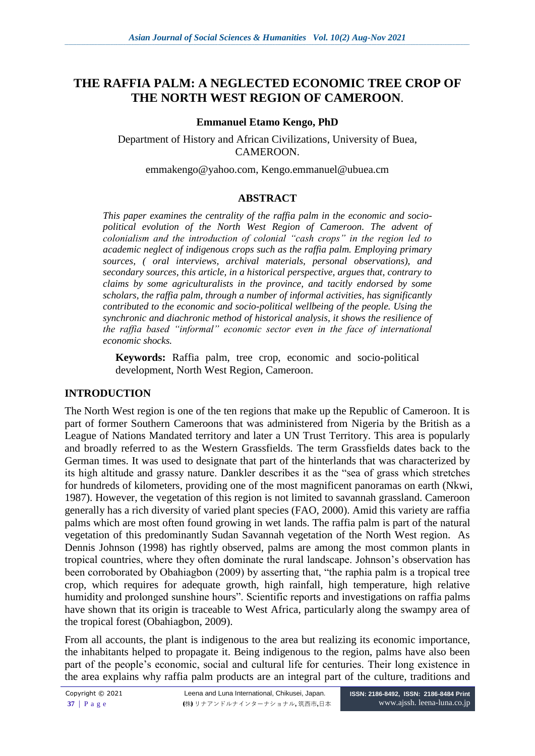# **THE RAFFIA PALM: A NEGLECTED ECONOMIC TREE CROP OF THE NORTH WEST REGION OF CAMEROON**.

## **Emmanuel Etamo Kengo, PhD**

Department of History and African Civilizations, University of Buea, CAMEROON.

[emmakengo@yahoo.com,](mailto:emmakengo@yahoo.com) Kengo.emmanuel@ubuea.cm

#### **ABSTRACT**

*This paper examines the centrality of the raffia palm in the economic and sociopolitical evolution of the North West Region of Cameroon. The advent of colonialism and the introduction of colonial "cash crops" in the region led to academic neglect of indigenous crops such as the raffia palm. Employing primary sources, ( oral interviews, archival materials, personal observations), and secondary sources, this article, in a historical perspective, argues that, contrary to claims by some agriculturalists in the province, and tacitly endorsed by some scholars, the raffia palm, through a number of informal activities, has significantly contributed to the economic and socio-political wellbeing of the people. Using the synchronic and diachronic method of historical analysis, it shows the resilience of the raffia based "informal" economic sector even in the face of international economic shocks.*

**Keywords:** Raffia palm, tree crop, economic and socio-political development, North West Region, Cameroon.

#### **INTRODUCTION**

The North West region is one of the ten regions that make up the Republic of Cameroon. It is part of former Southern Cameroons that was administered from Nigeria by the British as a League of Nations Mandated territory and later a UN Trust Territory. This area is popularly and broadly referred to as the Western Grassfields. The term Grassfields dates back to the German times. It was used to designate that part of the hinterlands that was characterized by its high altitude and grassy nature. Dankler describes it as the "sea of grass which stretches for hundreds of kilometers, providing one of the most magnificent panoramas on earth (Nkwi, 1987). However, the vegetation of this region is not limited to savannah grassland. Cameroon generally has a rich diversity of varied plant species (FAO, 2000). Amid this variety are raffia palms which are most often found growing in wet lands. The raffia palm is part of the natural vegetation of this predominantly Sudan Savannah vegetation of the North West region. As Dennis Johnson (1998) has rightly observed, palms are among the most common plants in tropical countries, where they often dominate the rural landscape. Johnson's observation has been corroborated by Obahiagbon (2009) by asserting that, "the raphia palm is a tropical tree crop, which requires for adequate growth, high rainfall, high temperature, high relative humidity and prolonged sunshine hours". Scientific reports and investigations on raffia palms have shown that its origin is traceable to West Africa, particularly along the swampy area of the tropical forest (Obahiagbon, 2009).

From all accounts, the plant is indigenous to the area but realizing its economic importance, the inhabitants helped to propagate it. Being indigenous to the region, palms have also been part of the people's economic, social and cultural life for centuries. Their long existence in the area explains why raffia palm products are an integral part of the culture, traditions and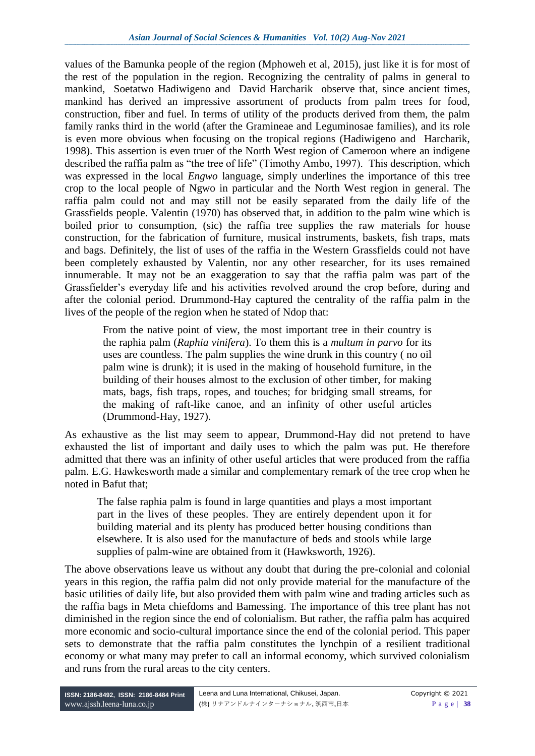values of the Bamunka people of the region (Mphoweh et al, 2015), just like it is for most of the rest of the population in the region. Recognizing the centrality of palms in general to mankind, Soetatwo Hadiwigeno and David Harcharik observe that, since ancient times, mankind has derived an impressive assortment of products from palm trees for food, construction, fiber and fuel. In terms of utility of the products derived from them, the palm family ranks third in the world (after the Gramineae and Leguminosae families), and its role is even more obvious when focusing on the tropical regions (Hadiwigeno and Harcharik, 1998). This assertion is even truer of the North West region of Cameroon where an indigene described the raffia palm as "the tree of life" (Timothy Ambo, 1997). This description, which was expressed in the local *Engwo* language, simply underlines the importance of this tree crop to the local people of Ngwo in particular and the North West region in general. The raffia palm could not and may still not be easily separated from the daily life of the Grassfields people. Valentin (1970) has observed that, in addition to the palm wine which is boiled prior to consumption, (sic) the raffia tree supplies the raw materials for house construction, for the fabrication of furniture, musical instruments, baskets, fish traps, mats and bags. Definitely, the list of uses of the raffia in the Western Grassfields could not have been completely exhausted by Valentin, nor any other researcher, for its uses remained innumerable. It may not be an exaggeration to say that the raffia palm was part of the Grassfielder's everyday life and his activities revolved around the crop before, during and after the colonial period. Drummond-Hay captured the centrality of the raffia palm in the lives of the people of the region when he stated of Ndop that:

From the native point of view, the most important tree in their country is the raphia palm (*Raphia vinifera*). To them this is a *multum in parvo* for its uses are countless. The palm supplies the wine drunk in this country ( no oil palm wine is drunk); it is used in the making of household furniture, in the building of their houses almost to the exclusion of other timber, for making mats, bags, fish traps, ropes, and touches; for bridging small streams, for the making of raft-like canoe, and an infinity of other useful articles (Drummond-Hay, 1927).

As exhaustive as the list may seem to appear, Drummond-Hay did not pretend to have exhausted the list of important and daily uses to which the palm was put. He therefore admitted that there was an infinity of other useful articles that were produced from the raffia palm. E.G. Hawkesworth made a similar and complementary remark of the tree crop when he noted in Bafut that;

The false raphia palm is found in large quantities and plays a most important part in the lives of these peoples. They are entirely dependent upon it for building material and its plenty has produced better housing conditions than elsewhere. It is also used for the manufacture of beds and stools while large supplies of palm-wine are obtained from it (Hawksworth, 1926).

The above observations leave us without any doubt that during the pre-colonial and colonial years in this region, the raffia palm did not only provide material for the manufacture of the basic utilities of daily life, but also provided them with palm wine and trading articles such as the raffia bags in Meta chiefdoms and Bamessing. The importance of this tree plant has not diminished in the region since the end of colonialism. But rather, the raffia palm has acquired more economic and socio-cultural importance since the end of the colonial period. This paper sets to demonstrate that the raffia palm constitutes the lynchpin of a resilient traditional economy or what many may prefer to call an informal economy, which survived colonialism and runs from the rural areas to the city centers.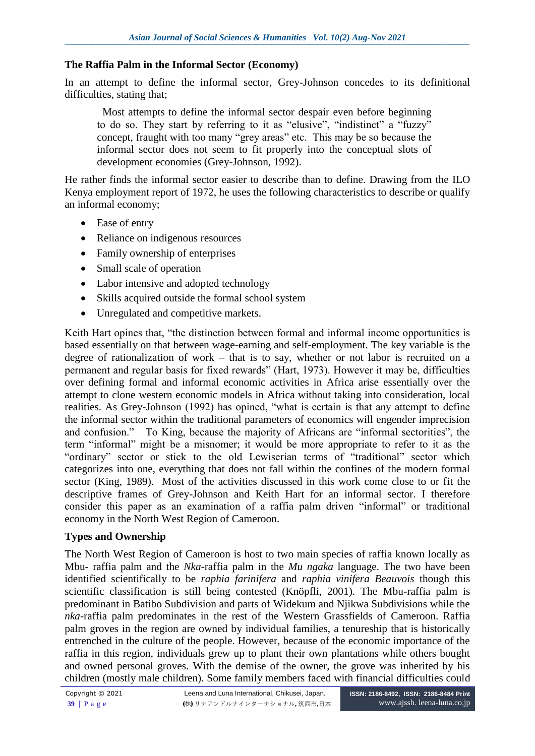## **The Raffia Palm in the Informal Sector (Economy)**

In an attempt to define the informal sector, Grey-Johnson concedes to its definitional difficulties, stating that;

 Most attempts to define the informal sector despair even before beginning to do so. They start by referring to it as "elusive", "indistinct" a "fuzzy" concept, fraught with too many "grey areas" etc. This may be so because the informal sector does not seem to fit properly into the conceptual slots of development economies (Grey-Johnson, 1992).

He rather finds the informal sector easier to describe than to define. Drawing from the ILO Kenya employment report of 1972, he uses the following characteristics to describe or qualify an informal economy;

- Ease of entry
- Reliance on indigenous resources
- Family ownership of enterprises
- Small scale of operation
- Labor intensive and adopted technology
- Skills acquired outside the formal school system
- Unregulated and competitive markets.

Keith Hart opines that, "the distinction between formal and informal income opportunities is based essentially on that between wage-earning and self-employment. The key variable is the degree of rationalization of work – that is to say, whether or not labor is recruited on a permanent and regular basis for fixed rewards" (Hart, 1973). However it may be, difficulties over defining formal and informal economic activities in Africa arise essentially over the attempt to clone western economic models in Africa without taking into consideration, local realities. As Grey-Johnson (1992) has opined, "what is certain is that any attempt to define the informal sector within the traditional parameters of economics will engender imprecision and confusion." To King, because the majority of Africans are "informal sectorities", the term "informal" might be a misnomer; it would be more appropriate to refer to it as the "ordinary" sector or stick to the old Lewiserian terms of "traditional" sector which categorizes into one, everything that does not fall within the confines of the modern formal sector (King, 1989). Most of the activities discussed in this work come close to or fit the descriptive frames of Grey-Johnson and Keith Hart for an informal sector. I therefore consider this paper as an examination of a raffia palm driven "informal" or traditional economy in the North West Region of Cameroon.

#### **Types and Ownership**

The North West Region of Cameroon is host to two main species of raffia known locally as Mbu- raffia palm and the *Nka*-raffia palm in the *Mu ngaka* language. The two have been identified scientifically to be *raphia farinifera* and *raphia vinifera Beauvois* though this scientific classification is still being contested (Knöpfli, 2001). The Mbu-raffia palm is predominant in Batibo Subdivision and parts of Widekum and Njikwa Subdivisions while the *nka*-raffia palm predominates in the rest of the Western Grassfields of Cameroon. Raffia palm groves in the region are owned by individual families, a tenureship that is historically entrenched in the culture of the people. However, because of the economic importance of the raffia in this region, individuals grew up to plant their own plantations while others bought and owned personal groves. With the demise of the owner, the grove was inherited by his children (mostly male children). Some family members faced with financial difficulties could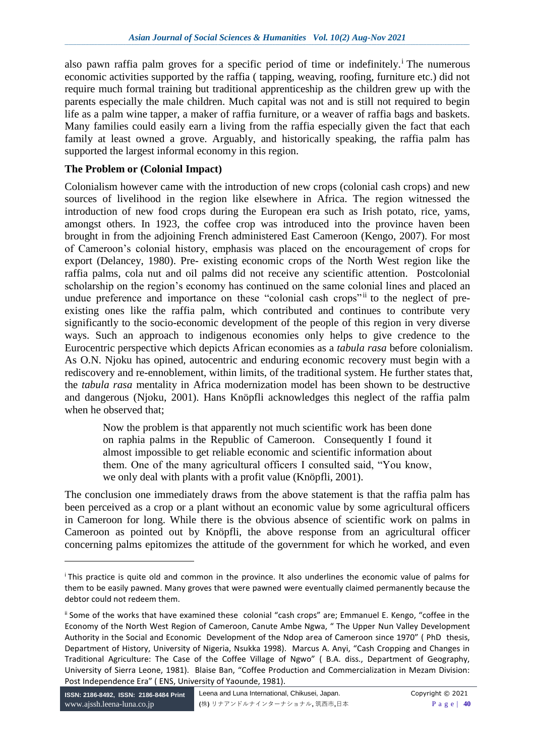also pawn raffia palm groves for a specific period of time or indefinitely.<sup> $\mathbf{i}$ </sup> The numerous economic activities supported by the raffia ( tapping, weaving, roofing, furniture etc.) did not require much formal training but traditional apprenticeship as the children grew up with the parents especially the male children. Much capital was not and is still not required to begin life as a palm wine tapper, a maker of raffia furniture, or a weaver of raffia bags and baskets. Many families could easily earn a living from the raffia especially given the fact that each family at least owned a grove. Arguably, and historically speaking, the raffia palm has supported the largest informal economy in this region.

### **The Problem or (Colonial Impact)**

Colonialism however came with the introduction of new crops (colonial cash crops) and new sources of livelihood in the region like elsewhere in Africa. The region witnessed the introduction of new food crops during the European era such as Irish potato, rice, yams, amongst others. In 1923, the coffee crop was introduced into the province haven been brought in from the adjoining French administered East Cameroon (Kengo, 2007). For most of Cameroon's colonial history, emphasis was placed on the encouragement of crops for export (Delancey, 1980). Pre- existing economic crops of the North West region like the raffia palms, cola nut and oil palms did not receive any scientific attention. Postcolonial scholarship on the region's economy has continued on the same colonial lines and placed an undue preference and importance on these "colonial cash crops" it to the neglect of preexisting ones like the raffia palm, which contributed and continues to contribute very significantly to the socio-economic development of the people of this region in very diverse ways. Such an approach to indigenous economies only helps to give credence to the Eurocentric perspective which depicts African economies as a *tabula rasa* before colonialism. As O.N. Njoku has opined, autocentric and enduring economic recovery must begin with a rediscovery and re-ennoblement, within limits, of the traditional system. He further states that, the *tabula rasa* mentality in Africa modernization model has been shown to be destructive and dangerous (Njoku, 2001). Hans Knöpfli acknowledges this neglect of the raffia palm when he observed that;

Now the problem is that apparently not much scientific work has been done on raphia palms in the Republic of Cameroon. Consequently I found it almost impossible to get reliable economic and scientific information about them. One of the many agricultural officers I consulted said, "You know, we only deal with plants with a profit value (Knöpfli, 2001).

The conclusion one immediately draws from the above statement is that the raffia palm has been perceived as a crop or a plant without an economic value by some agricultural officers in Cameroon for long. While there is the obvious absence of scientific work on palms in Cameroon as pointed out by Knöpfli, the above response from an agricultural officer concerning palms epitomizes the attitude of the government for which he worked, and even

<sup>i</sup> This practice is quite old and common in the province. It also underlines the economic value of palms for them to be easily pawned. Many groves that were pawned were eventually claimed permanently because the debtor could not redeem them.

ii Some of the works that have examined these colonial "cash crops" are; Emmanuel E. Kengo, "coffee in the Economy of the North West Region of Cameroon, Canute Ambe Ngwa, " The Upper Nun Valley Development Authority in the Social and Economic Development of the Ndop area of Cameroon since 1970" ( PhD thesis, Department of History, University of Nigeria, Nsukka 1998). Marcus A. Anyi, "Cash Cropping and Changes in Traditional Agriculture: The Case of the Coffee Village of Ngwo" ( B.A. diss., Department of Geography, University of Sierra Leone, 1981). Blaise Ban, "Coffee Production and Commercialization in Mezam Division: Post Independence Era" ( ENS, University of Yaounde, 1981).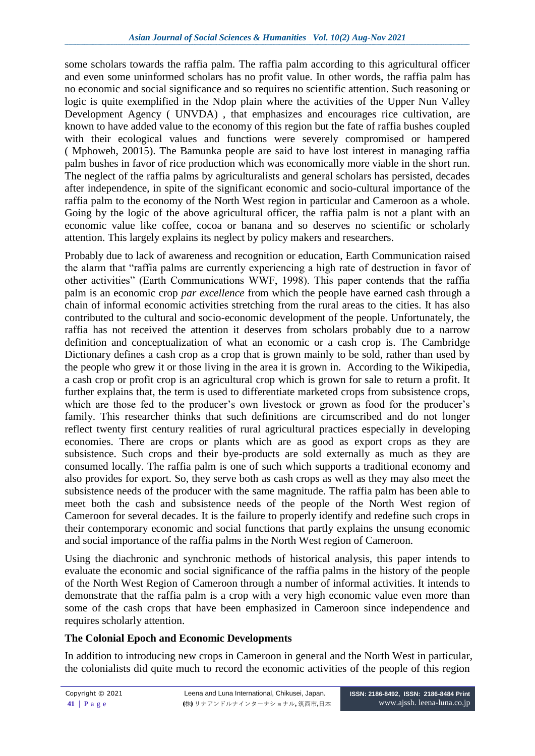some scholars towards the raffia palm. The raffia palm according to this agricultural officer and even some uninformed scholars has no profit value. In other words, the raffia palm has no economic and social significance and so requires no scientific attention. Such reasoning or logic is quite exemplified in the Ndop plain where the activities of the Upper Nun Valley Development Agency ( UNVDA) , that emphasizes and encourages rice cultivation, are known to have added value to the economy of this region but the fate of raffia bushes coupled with their ecological values and functions were severely compromised or hampered ( Mphoweh, 20015). The Bamunka people are said to have lost interest in managing raffia palm bushes in favor of rice production which was economically more viable in the short run. The neglect of the raffia palms by agriculturalists and general scholars has persisted, decades after independence, in spite of the significant economic and socio-cultural importance of the raffia palm to the economy of the North West region in particular and Cameroon as a whole. Going by the logic of the above agricultural officer, the raffia palm is not a plant with an economic value like coffee, cocoa or banana and so deserves no scientific or scholarly attention. This largely explains its neglect by policy makers and researchers.

Probably due to lack of awareness and recognition or education, Earth Communication raised the alarm that "raffia palms are currently experiencing a high rate of destruction in favor of other activities" (Earth Communications WWF, 1998). This paper contends that the raffia palm is an economic crop *par excellence* from which the people have earned cash through a chain of informal economic activities stretching from the rural areas to the cities. It has also contributed to the cultural and socio-economic development of the people. Unfortunately, the raffia has not received the attention it deserves from scholars probably due to a narrow definition and conceptualization of what an economic or a cash crop is. The Cambridge Dictionary defines a cash crop as a crop that is grown mainly to be sold, rather than used by the people who grew it or those living in the area it is grown in. According to the Wikipedia, a cash crop or profit crop is an agricultural crop which is grown for sale to return a profit. It further explains that, the term is used to differentiate marketed crops from subsistence crops, which are those fed to the producer's own livestock or grown as food for the producer's family. This researcher thinks that such definitions are circumscribed and do not longer reflect twenty first century realities of rural agricultural practices especially in developing economies. There are crops or plants which are as good as export crops as they are subsistence. Such crops and their bye-products are sold externally as much as they are consumed locally. The raffia palm is one of such which supports a traditional economy and also provides for export. So, they serve both as cash crops as well as they may also meet the subsistence needs of the producer with the same magnitude. The raffia palm has been able to meet both the cash and subsistence needs of the people of the North West region of Cameroon for several decades. It is the failure to properly identify and redefine such crops in their contemporary economic and social functions that partly explains the unsung economic and social importance of the raffia palms in the North West region of Cameroon.

Using the diachronic and synchronic methods of historical analysis, this paper intends to evaluate the economic and social significance of the raffia palms in the history of the people of the North West Region of Cameroon through a number of informal activities. It intends to demonstrate that the raffia palm is a crop with a very high economic value even more than some of the cash crops that have been emphasized in Cameroon since independence and requires scholarly attention.

# **The Colonial Epoch and Economic Developments**

In addition to introducing new crops in Cameroon in general and the North West in particular, the colonialists did quite much to record the economic activities of the people of this region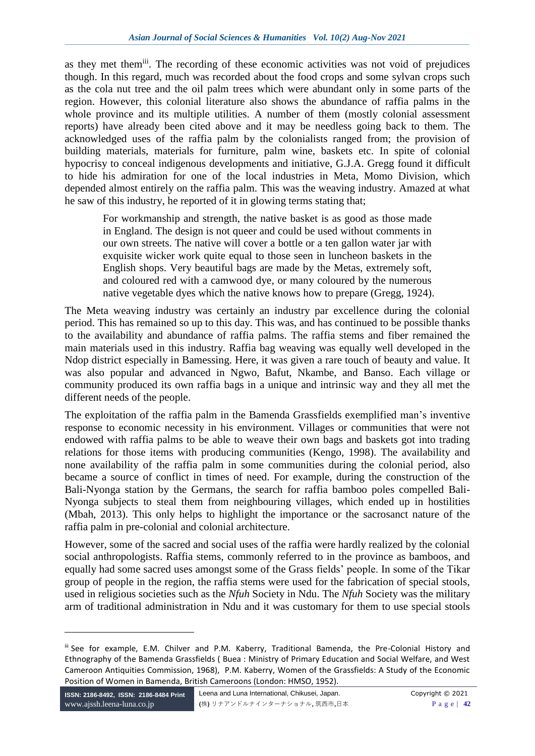as they met themiii. The recording of these economic activities was not void of prejudices though. In this regard, much was recorded about the food crops and some sylvan crops such as the cola nut tree and the oil palm trees which were abundant only in some parts of the region. However, this colonial literature also shows the abundance of raffia palms in the whole province and its multiple utilities. A number of them (mostly colonial assessment reports) have already been cited above and it may be needless going back to them. The acknowledged uses of the raffia palm by the colonialists ranged from; the provision of building materials, materials for furniture, palm wine, baskets etc. In spite of colonial hypocrisy to conceal indigenous developments and initiative, G.J.A. Gregg found it difficult to hide his admiration for one of the local industries in Meta, Momo Division, which depended almost entirely on the raffia palm. This was the weaving industry. Amazed at what he saw of this industry, he reported of it in glowing terms stating that;

For workmanship and strength, the native basket is as good as those made in England. The design is not queer and could be used without comments in our own streets. The native will cover a bottle or a ten gallon water jar with exquisite wicker work quite equal to those seen in luncheon baskets in the English shops. Very beautiful bags are made by the Metas, extremely soft, and coloured red with a camwood dye, or many coloured by the numerous native vegetable dyes which the native knows how to prepare (Gregg, 1924).

The Meta weaving industry was certainly an industry par excellence during the colonial period. This has remained so up to this day. This was, and has continued to be possible thanks to the availability and abundance of raffia palms. The raffia stems and fiber remained the main materials used in this industry. Raffia bag weaving was equally well developed in the Ndop district especially in Bamessing. Here, it was given a rare touch of beauty and value. It was also popular and advanced in Ngwo, Bafut, Nkambe, and Banso. Each village or community produced its own raffia bags in a unique and intrinsic way and they all met the different needs of the people.

The exploitation of the raffia palm in the Bamenda Grassfields exemplified man's inventive response to economic necessity in his environment. Villages or communities that were not endowed with raffia palms to be able to weave their own bags and baskets got into trading relations for those items with producing communities (Kengo, 1998). The availability and none availability of the raffia palm in some communities during the colonial period, also became a source of conflict in times of need. For example, during the construction of the Bali-Nyonga station by the Germans, the search for raffia bamboo poles compelled Bali-Nyonga subjects to steal them from neighbouring villages, which ended up in hostilities (Mbah, 2013). This only helps to highlight the importance or the sacrosanct nature of the raffia palm in pre-colonial and colonial architecture.

However, some of the sacred and social uses of the raffia were hardly realized by the colonial social anthropologists. Raffia stems, commonly referred to in the province as bamboos, and equally had some sacred uses amongst some of the Grass fields' people. In some of the Tikar group of people in the region, the raffia stems were used for the fabrication of special stools, used in religious societies such as the *Nfuh* Society in Ndu. The *Nfuh* Society was the military arm of traditional administration in Ndu and it was customary for them to use special stools

iii See for example, E.M. Chilver and P.M. Kaberry, Traditional Bamenda, the Pre-Colonial History and Ethnography of the Bamenda Grassfields ( Buea : Ministry of Primary Education and Social Welfare, and West Cameroon Antiquities Commission, 1968), P.M. Kaberry, Women of the Grassfields: A Study of the Economic Position of Women in Bamenda, British Cameroons (London: HMSO, 1952).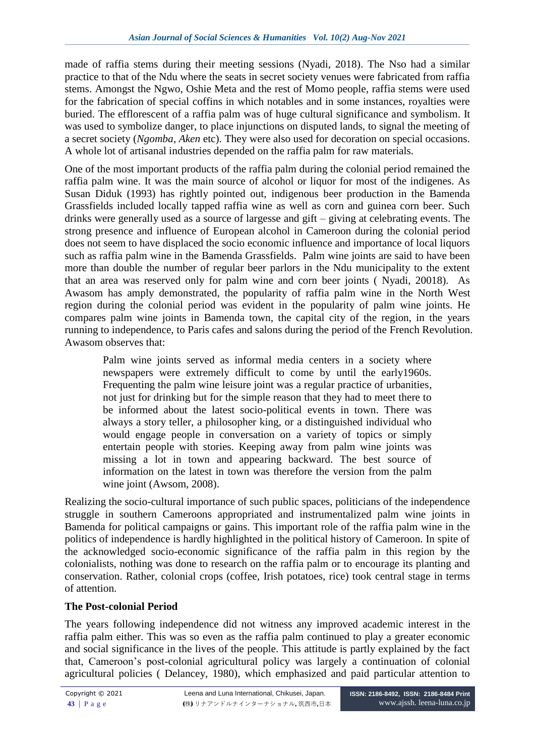made of raffia stems during their meeting sessions (Nyadi, 2018). The Nso had a similar practice to that of the Ndu where the seats in secret society venues were fabricated from raffia stems. Amongst the Ngwo, Oshie Meta and the rest of Momo people, raffia stems were used for the fabrication of special coffins in which notables and in some instances, royalties were buried. The efflorescent of a raffia palm was of huge cultural significance and symbolism. It was used to symbolize danger, to place injunctions on disputed lands, to signal the meeting of a secret society (*Ngomba*, *Aken* etc). They were also used for decoration on special occasions. A whole lot of artisanal industries depended on the raffia palm for raw materials.

One of the most important products of the raffia palm during the colonial period remained the raffia palm wine. It was the main source of alcohol or liquor for most of the indigenes. As Susan Diduk (1993) has rightly pointed out, indigenous beer production in the Bamenda Grassfields included locally tapped raffia wine as well as corn and guinea corn beer. Such drinks were generally used as a source of largesse and gift – giving at celebrating events. The strong presence and influence of European alcohol in Cameroon during the colonial period does not seem to have displaced the socio economic influence and importance of local liquors such as raffia palm wine in the Bamenda Grassfields. Palm wine joints are said to have been more than double the number of regular beer parlors in the Ndu municipality to the extent that an area was reserved only for palm wine and corn beer joints ( Nyadi, 20018). As Awasom has amply demonstrated, the popularity of raffia palm wine in the North West region during the colonial period was evident in the popularity of palm wine joints. He compares palm wine joints in Bamenda town, the capital city of the region, in the years running to independence, to Paris cafes and salons during the period of the French Revolution. Awasom observes that:

Palm wine joints served as informal media centers in a society where newspapers were extremely difficult to come by until the early1960s. Frequenting the palm wine leisure joint was a regular practice of urbanities, not just for drinking but for the simple reason that they had to meet there to be informed about the latest socio-political events in town. There was always a story teller, a philosopher king, or a distinguished individual who would engage people in conversation on a variety of topics or simply entertain people with stories. Keeping away from palm wine joints was missing a lot in town and appearing backward. The best source of information on the latest in town was therefore the version from the palm wine joint (Awsom, 2008).

Realizing the socio-cultural importance of such public spaces, politicians of the independence struggle in southern Cameroons appropriated and instrumentalized palm wine joints in Bamenda for political campaigns or gains. This important role of the raffia palm wine in the politics of independence is hardly highlighted in the political history of Cameroon. In spite of the acknowledged socio-economic significance of the raffia palm in this region by the colonialists, nothing was done to research on the raffia palm or to encourage its planting and conservation. Rather, colonial crops (coffee, Irish potatoes, rice) took central stage in terms of attention.

# **The Post-colonial Period**

The years following independence did not witness any improved academic interest in the raffia palm either. This was so even as the raffia palm continued to play a greater economic and social significance in the lives of the people. This attitude is partly explained by the fact that, Cameroon's post-colonial agricultural policy was largely a continuation of colonial agricultural policies ( Delancey, 1980), which emphasized and paid particular attention to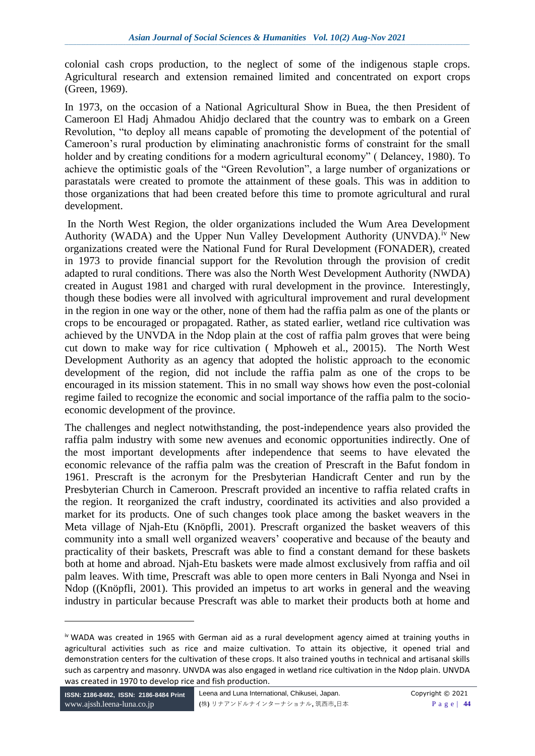colonial cash crops production, to the neglect of some of the indigenous staple crops. Agricultural research and extension remained limited and concentrated on export crops (Green, 1969).

In 1973, on the occasion of a National Agricultural Show in Buea, the then President of Cameroon El Hadj Ahmadou Ahidjo declared that the country was to embark on a Green Revolution, "to deploy all means capable of promoting the development of the potential of Cameroon's rural production by eliminating anachronistic forms of constraint for the small holder and by creating conditions for a modern agricultural economy" (Delancey, 1980). To achieve the optimistic goals of the "Green Revolution", a large number of organizations or parastatals were created to promote the attainment of these goals. This was in addition to those organizations that had been created before this time to promote agricultural and rural development.

In the North West Region, the older organizations included the Wum Area Development Authority (WADA) and the Upper Nun Valley Development Authority (UNVDA).<sup>iv</sup> New organizations created were the National Fund for Rural Development (FONADER), created in 1973 to provide financial support for the Revolution through the provision of credit adapted to rural conditions. There was also the North West Development Authority (NWDA) created in August 1981 and charged with rural development in the province. Interestingly, though these bodies were all involved with agricultural improvement and rural development in the region in one way or the other, none of them had the raffia palm as one of the plants or crops to be encouraged or propagated. Rather, as stated earlier, wetland rice cultivation was achieved by the UNVDA in the Ndop plain at the cost of raffia palm groves that were being cut down to make way for rice cultivation ( Mphoweh et al., 20015). The North West Development Authority as an agency that adopted the holistic approach to the economic development of the region, did not include the raffia palm as one of the crops to be encouraged in its mission statement. This in no small way shows how even the post-colonial regime failed to recognize the economic and social importance of the raffia palm to the socioeconomic development of the province.

The challenges and neglect notwithstanding, the post-independence years also provided the raffia palm industry with some new avenues and economic opportunities indirectly. One of the most important developments after independence that seems to have elevated the economic relevance of the raffia palm was the creation of Prescraft in the Bafut fondom in 1961. Prescraft is the acronym for the Presbyterian Handicraft Center and run by the Presbyterian Church in Cameroon. Prescraft provided an incentive to raffia related crafts in the region. It reorganized the craft industry, coordinated its activities and also provided a market for its products. One of such changes took place among the basket weavers in the Meta village of Njah-Etu (Knöpfli, 2001). Prescraft organized the basket weavers of this community into a small well organized weavers' cooperative and because of the beauty and practicality of their baskets, Prescraft was able to find a constant demand for these baskets both at home and abroad. Njah-Etu baskets were made almost exclusively from raffia and oil palm leaves. With time, Prescraft was able to open more centers in Bali Nyonga and Nsei in Ndop ((Knöpfli, 2001). This provided an impetus to art works in general and the weaving industry in particular because Prescraft was able to market their products both at home and

iv WADA was created in 1965 with German aid as a rural development agency aimed at training youths in agricultural activities such as rice and maize cultivation. To attain its objective, it opened trial and demonstration centers for the cultivation of these crops. It also trained youths in technical and artisanal skills such as carpentry and masonry. UNVDA was also engaged in wetland rice cultivation in the Ndop plain. UNVDA was created in 1970 to develop rice and fish production.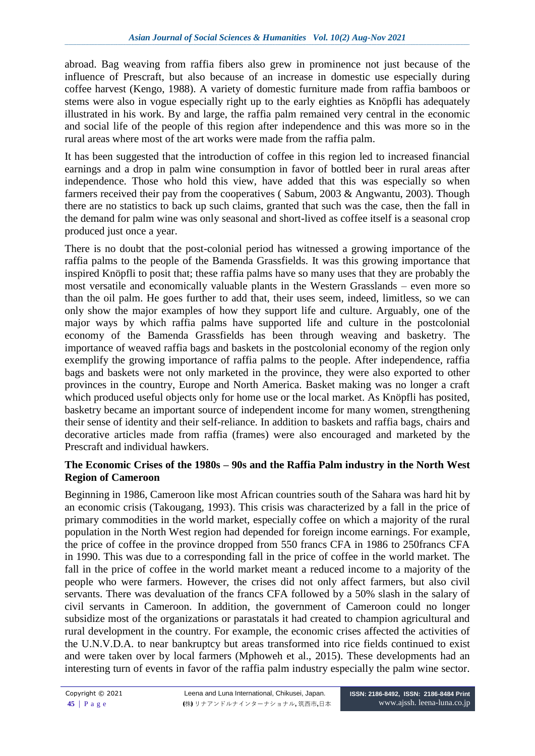abroad. Bag weaving from raffia fibers also grew in prominence not just because of the influence of Prescraft, but also because of an increase in domestic use especially during coffee harvest (Kengo, 1988). A variety of domestic furniture made from raffia bamboos or stems were also in vogue especially right up to the early eighties as Knöpfli has adequately illustrated in his work. By and large, the raffia palm remained very central in the economic and social life of the people of this region after independence and this was more so in the rural areas where most of the art works were made from the raffia palm.

It has been suggested that the introduction of coffee in this region led to increased financial earnings and a drop in palm wine consumption in favor of bottled beer in rural areas after independence. Those who hold this view, have added that this was especially so when farmers received their pay from the cooperatives ( Sabum, 2003 & Angwantu, 2003). Though there are no statistics to back up such claims, granted that such was the case, then the fall in the demand for palm wine was only seasonal and short-lived as coffee itself is a seasonal crop produced just once a year.

There is no doubt that the post-colonial period has witnessed a growing importance of the raffia palms to the people of the Bamenda Grassfields. It was this growing importance that inspired Knöpfli to posit that; these raffia palms have so many uses that they are probably the most versatile and economically valuable plants in the Western Grasslands – even more so than the oil palm. He goes further to add that, their uses seem, indeed, limitless, so we can only show the major examples of how they support life and culture. Arguably, one of the major ways by which raffia palms have supported life and culture in the postcolonial economy of the Bamenda Grassfields has been through weaving and basketry. The importance of weaved raffia bags and baskets in the postcolonial economy of the region only exemplify the growing importance of raffia palms to the people. After independence, raffia bags and baskets were not only marketed in the province, they were also exported to other provinces in the country, Europe and North America. Basket making was no longer a craft which produced useful objects only for home use or the local market. As Knöpfli has posited, basketry became an important source of independent income for many women, strengthening their sense of identity and their self-reliance. In addition to baskets and raffia bags, chairs and decorative articles made from raffia (frames) were also encouraged and marketed by the Prescraft and individual hawkers.

## **The Economic Crises of the 1980s – 90s and the Raffia Palm industry in the North West Region of Cameroon**

Beginning in 1986, Cameroon like most African countries south of the Sahara was hard hit by an economic crisis (Takougang, 1993). This crisis was characterized by a fall in the price of primary commodities in the world market, especially coffee on which a majority of the rural population in the North West region had depended for foreign income earnings. For example, the price of coffee in the province dropped from 550 francs CFA in 1986 to 250francs CFA in 1990. This was due to a corresponding fall in the price of coffee in the world market. The fall in the price of coffee in the world market meant a reduced income to a majority of the people who were farmers. However, the crises did not only affect farmers, but also civil servants. There was devaluation of the francs CFA followed by a 50% slash in the salary of civil servants in Cameroon. In addition, the government of Cameroon could no longer subsidize most of the organizations or parastatals it had created to champion agricultural and rural development in the country. For example, the economic crises affected the activities of the U.N.V.D.A. to near bankruptcy but areas transformed into rice fields continued to exist and were taken over by local farmers (Mphoweh et al., 2015). These developments had an interesting turn of events in favor of the raffia palm industry especially the palm wine sector.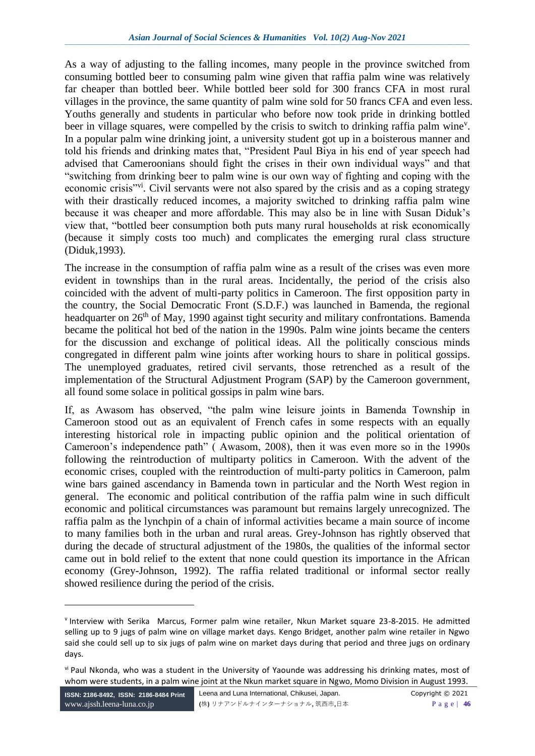As a way of adjusting to the falling incomes, many people in the province switched from consuming bottled beer to consuming palm wine given that raffia palm wine was relatively far cheaper than bottled beer. While bottled beer sold for 300 francs CFA in most rural villages in the province, the same quantity of palm wine sold for 50 francs CFA and even less. Youths generally and students in particular who before now took pride in drinking bottled beer in village squares, were compelled by the crisis to switch to drinking raffia palm wine<sup>v</sup>. In a popular palm wine drinking joint, a university student got up in a boisterous manner and told his friends and drinking mates that, "President Paul Biya in his end of year speech had advised that Cameroonians should fight the crises in their own individual ways" and that "switching from drinking beer to palm wine is our own way of fighting and coping with the economic crisis<sup>"vi</sup>. Civil servants were not also spared by the crisis and as a coping strategy with their drastically reduced incomes, a majority switched to drinking raffia palm wine because it was cheaper and more affordable. This may also be in line with Susan Diduk's view that, "bottled beer consumption both puts many rural households at risk economically (because it simply costs too much) and complicates the emerging rural class structure (Diduk,1993).

The increase in the consumption of raffia palm wine as a result of the crises was even more evident in townships than in the rural areas. Incidentally, the period of the crisis also coincided with the advent of multi-party politics in Cameroon. The first opposition party in the country, the Social Democratic Front (S.D.F.) was launched in Bamenda, the regional headquarter on 26<sup>th</sup> of May, 1990 against tight security and military confrontations. Bamenda became the political hot bed of the nation in the 1990s. Palm wine joints became the centers for the discussion and exchange of political ideas. All the politically conscious minds congregated in different palm wine joints after working hours to share in political gossips. The unemployed graduates, retired civil servants, those retrenched as a result of the implementation of the Structural Adjustment Program (SAP) by the Cameroon government, all found some solace in political gossips in palm wine bars.

If, as Awasom has observed, "the palm wine leisure joints in Bamenda Township in Cameroon stood out as an equivalent of French cafes in some respects with an equally interesting historical role in impacting public opinion and the political orientation of Cameroon's independence path" ( Awasom, 2008), then it was even more so in the 1990s following the reintroduction of multiparty politics in Cameroon. With the advent of the economic crises, coupled with the reintroduction of multi-party politics in Cameroon, palm wine bars gained ascendancy in Bamenda town in particular and the North West region in general. The economic and political contribution of the raffia palm wine in such difficult economic and political circumstances was paramount but remains largely unrecognized. The raffia palm as the lynchpin of a chain of informal activities became a main source of income to many families both in the urban and rural areas. Grey-Johnson has rightly observed that during the decade of structural adjustment of the 1980s, the qualities of the informal sector came out in bold relief to the extent that none could question its importance in the African economy (Grey-Johnson, 1992). The raffia related traditional or informal sector really showed resilience during the period of the crisis.

v Interview with Serika Marcus, Former palm wine retailer, Nkun Market square 23-8-2015. He admitted selling up to 9 jugs of palm wine on village market days. Kengo Bridget, another palm wine retailer in Ngwo said she could sell up to six jugs of palm wine on market days during that period and three jugs on ordinary days.

vi Paul Nkonda, who was a student in the University of Yaounde was addressing his drinking mates, most of whom were students, in a palm wine joint at the Nkun market square in Ngwo, Momo Division in August 1993.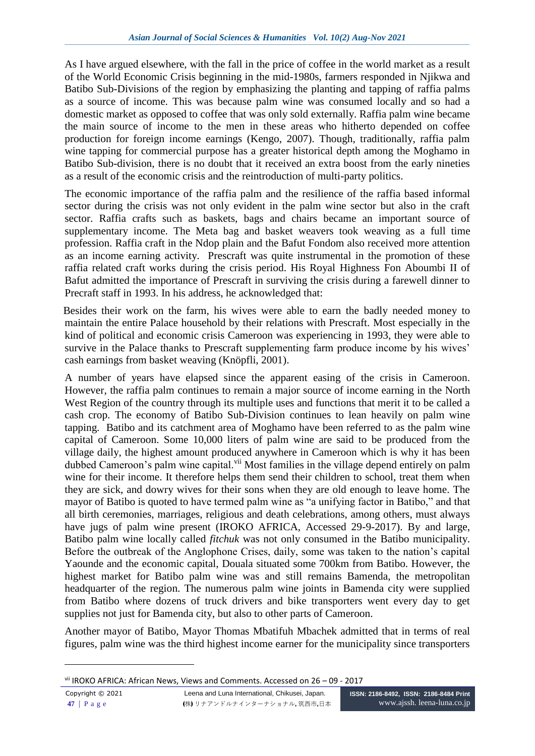As I have argued elsewhere, with the fall in the price of coffee in the world market as a result of the World Economic Crisis beginning in the mid-1980s, farmers responded in Njikwa and Batibo Sub-Divisions of the region by emphasizing the planting and tapping of raffia palms as a source of income. This was because palm wine was consumed locally and so had a domestic market as opposed to coffee that was only sold externally. Raffia palm wine became the main source of income to the men in these areas who hitherto depended on coffee production for foreign income earnings (Kengo, 2007). Though, traditionally, raffia palm wine tapping for commercial purpose has a greater historical depth among the Moghamo in Batibo Sub-division, there is no doubt that it received an extra boost from the early nineties as a result of the economic crisis and the reintroduction of multi-party politics.

The economic importance of the raffia palm and the resilience of the raffia based informal sector during the crisis was not only evident in the palm wine sector but also in the craft sector. Raffia crafts such as baskets, bags and chairs became an important source of supplementary income. The Meta bag and basket weavers took weaving as a full time profession. Raffia craft in the Ndop plain and the Bafut Fondom also received more attention as an income earning activity. Prescraft was quite instrumental in the promotion of these raffia related craft works during the crisis period. His Royal Highness Fon Aboumbi II of Bafut admitted the importance of Prescraft in surviving the crisis during a farewell dinner to Precraft staff in 1993. In his address, he acknowledged that:

 Besides their work on the farm, his wives were able to earn the badly needed money to maintain the entire Palace household by their relations with Prescraft. Most especially in the kind of political and economic crisis Cameroon was experiencing in 1993, they were able to survive in the Palace thanks to Prescraft supplementing farm produce income by his wives' cash earnings from basket weaving (Knöpfli, 2001).

A number of years have elapsed since the apparent easing of the crisis in Cameroon. However, the raffia palm continues to remain a major source of income earning in the North West Region of the country through its multiple uses and functions that merit it to be called a cash crop. The economy of Batibo Sub-Division continues to lean heavily on palm wine tapping. Batibo and its catchment area of Moghamo have been referred to as the palm wine capital of Cameroon. Some 10,000 liters of palm wine are said to be produced from the village daily, the highest amount produced anywhere in Cameroon which is why it has been dubbed Cameroon's palm wine capital.<sup>vii</sup> Most families in the village depend entirely on palm wine for their income. It therefore helps them send their children to school, treat them when they are sick, and dowry wives for their sons when they are old enough to leave home. The mayor of Batibo is quoted to have termed palm wine as "a unifying factor in Batibo," and that all birth ceremonies, marriages, religious and death celebrations, among others, must always have jugs of palm wine present (IROKO AFRICA, Accessed 29-9-2017). By and large, Batibo palm wine locally called *fitchuk* was not only consumed in the Batibo municipality. Before the outbreak of the Anglophone Crises, daily, some was taken to the nation's capital Yaounde and the economic capital, Douala situated some 700km from Batibo. However, the highest market for Batibo palm wine was and still remains Bamenda, the metropolitan headquarter of the region. The numerous palm wine joints in Bamenda city were supplied from Batibo where dozens of truck drivers and bike transporters went every day to get supplies not just for Bamenda city, but also to other parts of Cameroon.

Another mayor of Batibo, Mayor Thomas Mbatifuh Mbachek admitted that in terms of real figures, palm wine was the third highest income earner for the municipality since transporters

vii IROKO AFRICA: African News, Views and Comments. Accessed on 26 – 09 - 2017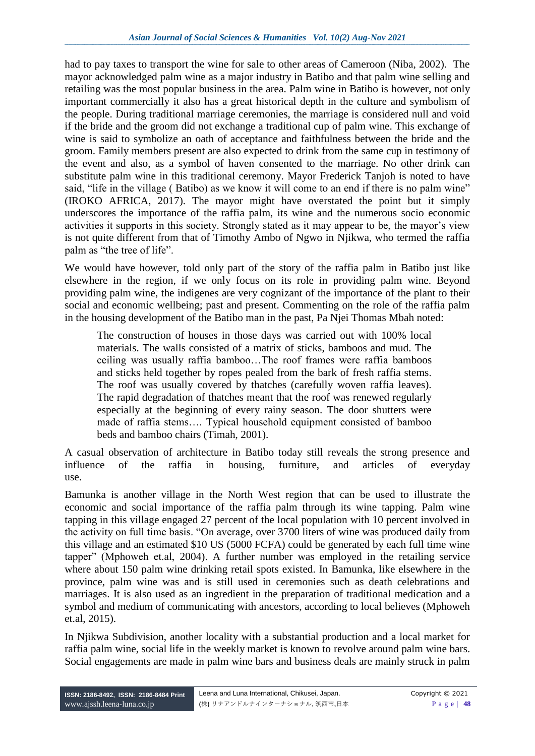had to pay taxes to transport the wine for sale to other areas of Cameroon (Niba, 2002). The mayor acknowledged palm wine as a major industry in Batibo and that palm wine selling and retailing was the most popular business in the area. Palm wine in Batibo is however, not only important commercially it also has a great historical depth in the culture and symbolism of the people. During traditional marriage ceremonies, the marriage is considered null and void if the bride and the groom did not exchange a traditional cup of palm wine. This exchange of wine is said to symbolize an oath of acceptance and faithfulness between the bride and the groom. Family members present are also expected to drink from the same cup in testimony of the event and also, as a symbol of haven consented to the marriage. No other drink can substitute palm wine in this traditional ceremony. Mayor Frederick Tanjoh is noted to have said, "life in the village (Batibo) as we know it will come to an end if there is no palm wine" (IROKO AFRICA, 2017). The mayor might have overstated the point but it simply underscores the importance of the raffia palm, its wine and the numerous socio economic activities it supports in this society. Strongly stated as it may appear to be, the mayor's view is not quite different from that of Timothy Ambo of Ngwo in Njikwa, who termed the raffia palm as "the tree of life".

We would have however, told only part of the story of the raffia palm in Batibo just like elsewhere in the region, if we only focus on its role in providing palm wine. Beyond providing palm wine, the indigenes are very cognizant of the importance of the plant to their social and economic wellbeing; past and present. Commenting on the role of the raffia palm in the housing development of the Batibo man in the past, Pa Njei Thomas Mbah noted:

The construction of houses in those days was carried out with 100% local materials. The walls consisted of a matrix of sticks, bamboos and mud. The ceiling was usually raffia bamboo…The roof frames were raffia bamboos and sticks held together by ropes pealed from the bark of fresh raffia stems. The roof was usually covered by thatches (carefully woven raffia leaves). The rapid degradation of thatches meant that the roof was renewed regularly especially at the beginning of every rainy season. The door shutters were made of raffia stems…. Typical household equipment consisted of bamboo beds and bamboo chairs (Timah, 2001).

A casual observation of architecture in Batibo today still reveals the strong presence and influence of the raffia in housing, furniture, and articles of everyday use.

Bamunka is another village in the North West region that can be used to illustrate the economic and social importance of the raffia palm through its wine tapping. Palm wine tapping in this village engaged 27 percent of the local population with 10 percent involved in the activity on full time basis. "On average, over 3700 liters of wine was produced daily from this village and an estimated \$10 US (5000 FCFA) could be generated by each full time wine tapper" (Mphoweh et.al, 2004). A further number was employed in the retailing service where about 150 palm wine drinking retail spots existed. In Bamunka, like elsewhere in the province, palm wine was and is still used in ceremonies such as death celebrations and marriages. It is also used as an ingredient in the preparation of traditional medication and a symbol and medium of communicating with ancestors, according to local believes (Mphoweh et.al, 2015).

In Njikwa Subdivision, another locality with a substantial production and a local market for raffia palm wine, social life in the weekly market is known to revolve around palm wine bars. Social engagements are made in palm wine bars and business deals are mainly struck in palm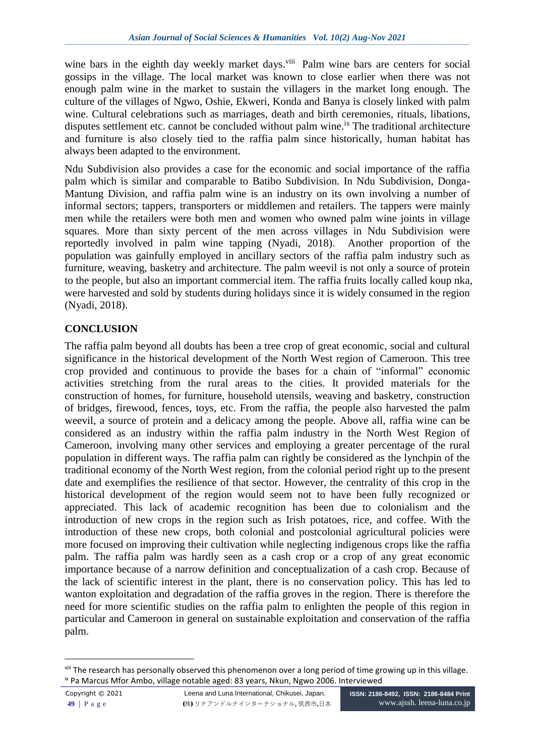wine bars in the eighth day weekly market days.<sup>viii</sup> Palm wine bars are centers for social gossips in the village. The local market was known to close earlier when there was not enough palm wine in the market to sustain the villagers in the market long enough. The culture of the villages of Ngwo, Oshie, Ekweri, Konda and Banya is closely linked with palm wine. Cultural celebrations such as marriages, death and birth ceremonies, rituals, libations, disputes settlement etc. cannot be concluded without palm wine.<sup>ix</sup> The traditional architecture and furniture is also closely tied to the raffia palm since historically, human habitat has always been adapted to the environment.

Ndu Subdivision also provides a case for the economic and social importance of the raffia palm which is similar and comparable to Batibo Subdivision. In Ndu Subdivision, Donga-Mantung Division, and raffia palm wine is an industry on its own involving a number of informal sectors; tappers, transporters or middlemen and retailers. The tappers were mainly men while the retailers were both men and women who owned palm wine joints in village squares. More than sixty percent of the men across villages in Ndu Subdivision were reportedly involved in palm wine tapping (Nyadi, 2018). Another proportion of the population was gainfully employed in ancillary sectors of the raffia palm industry such as furniture, weaving, basketry and architecture. The palm weevil is not only a source of protein to the people, but also an important commercial item. The raffia fruits locally called koup nka, were harvested and sold by students during holidays since it is widely consumed in the region (Nyadi, 2018).

# **CONCLUSION**

The raffia palm beyond all doubts has been a tree crop of great economic, social and cultural significance in the historical development of the North West region of Cameroon. This tree crop provided and continuous to provide the bases for a chain of "informal" economic activities stretching from the rural areas to the cities. It provided materials for the construction of homes, for furniture, household utensils, weaving and basketry, construction of bridges, firewood, fences, toys, etc. From the raffia, the people also harvested the palm weevil, a source of protein and a delicacy among the people. Above all, raffia wine can be considered as an industry within the raffia palm industry in the North West Region of Cameroon, involving many other services and employing a greater percentage of the rural population in different ways. The raffia palm can rightly be considered as the lynchpin of the traditional economy of the North West region, from the colonial period right up to the present date and exemplifies the resilience of that sector. However, the centrality of this crop in the historical development of the region would seem not to have been fully recognized or appreciated. This lack of academic recognition has been due to colonialism and the introduction of new crops in the region such as Irish potatoes, rice, and coffee. With the introduction of these new crops, both colonial and postcolonial agricultural policies were more focused on improving their cultivation while neglecting indigenous crops like the raffia palm. The raffia palm was hardly seen as a cash crop or a crop of any great economic importance because of a narrow definition and conceptualization of a cash crop. Because of the lack of scientific interest in the plant, there is no conservation policy. This has led to wanton exploitation and degradation of the raffia groves in the region. There is therefore the need for more scientific studies on the raffia palm to enlighten the people of this region in particular and Cameroon in general on sustainable exploitation and conservation of the raffia palm.

<u>.</u>

viii The research has personally observed this phenomenon over a long period of time growing up in this village. ix Pa Marcus Mfor Ambo, village notable aged: 83 years, Nkun, Ngwo 2006. Interviewed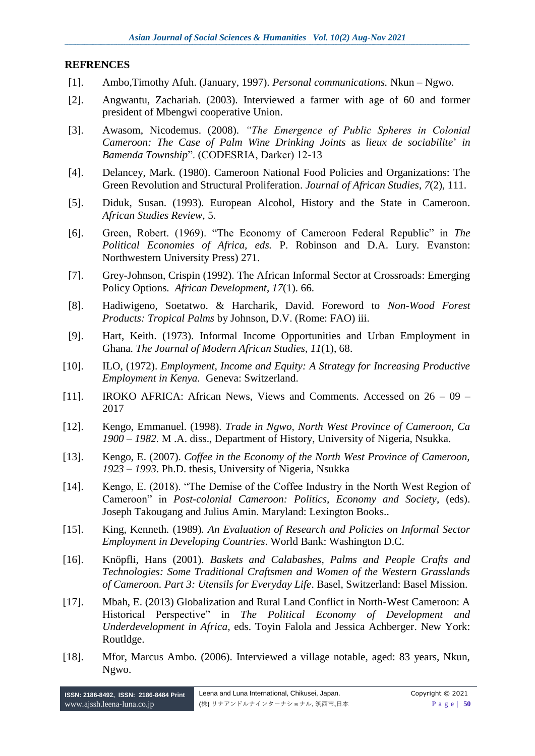#### **REFRENCES**

- [1]. Ambo,Timothy Afuh. (January, 1997). *Personal communications.* Nkun Ngwo.
- [2]. Angwantu, Zachariah. (2003). Interviewed a farmer with age of 60 and former president of Mbengwi cooperative Union.
- [3]. Awasom, Nicodemus. (2008). *"The Emergence of Public Spheres in Colonial Cameroon: The Case of Palm Wine Drinking Joints* as *lieux de sociabilite*' *in Bamenda Township*". (CODESRIA, Darker) 12-13
- [4]. Delancey, Mark. (1980). Cameroon National Food Policies and Organizations: The Green Revolution and Structural Proliferation. *Journal of African Studies*, *7*(2), 111.
- [5]. Diduk, Susan. (1993). European Alcohol, History and the State in Cameroon. *African Studies Review*, 5.
- [6]. Green, Robert. (1969). "The Economy of Cameroon Federal Republic" in *The Political Economies of Africa, eds.* P. Robinson and D.A. Lury*.* Evanston: Northwestern University Press) 271.
- [7]. Grey-Johnson, Crispin (1992). The African Informal Sector at Crossroads: Emerging Policy Options*. African Development*, *17*(1). 66.
- [8]. Hadiwigeno, Soetatwo. & Harcharik, David. Foreword to *Non-Wood Forest Products: Tropical Palms* by Johnson, D.V. (Rome: FAO) iii.
- [9]. Hart, Keith. (1973). Informal Income Opportunities and Urban Employment in Ghana. *The Journal of Modern African Studies*, *11*(1), 68.
- [10]. ILO, (1972). *Employment, Income and Equity: A Strategy for Increasing Productive Employment in Kenya.* Geneva: Switzerland.
- [11]. IROKO AFRICA: African News, Views and Comments. Accessed on 26 09 2017
- [12]. Kengo, Emmanuel. (1998). *Trade in Ngwo, North West Province of Cameroon, Ca 1900 – 1982.* M .A. diss., Department of History, University of Nigeria, Nsukka.
- [13]. Kengo, E. (2007). *Coffee in the Economy of the North West Province of Cameroon, 1923 – 1993*. Ph.D. thesis, University of Nigeria, Nsukka
- [14]. Kengo, E. (2018). "The Demise of the Coffee Industry in the North West Region of Cameroon" in *Post-colonial Cameroon: Politics, Economy and Society*, (eds). Joseph Takougang and Julius Amin. Maryland: Lexington Books..
- [15]. King*,* Kenneth*.* (1989)*. An Evaluation of Research and Policies on Informal Sector Employment in Developing Countries*. World Bank: Washington D.C.
- [16]. Knöpfli*,* Hans (2001). *Baskets and Calabashes, Palms and People Crafts and Technologies: Some Traditional Craftsmen and Women of the Western Grasslands of Cameroon. Part 3: Utensils for Everyday Life*. Basel, Switzerland: Basel Mission.
- [17]. Mbah, E. (2013) Globalization and Rural Land Conflict in North-West Cameroon: A Historical Perspective" in *The Political Economy of Development and Underdevelopment in Africa*, eds. Toyin Falola and Jessica Achberger. New York: Routldge.
- [18]. Mfor, Marcus Ambo. (2006). Interviewed a village notable, aged: 83 years, Nkun, Ngwo.